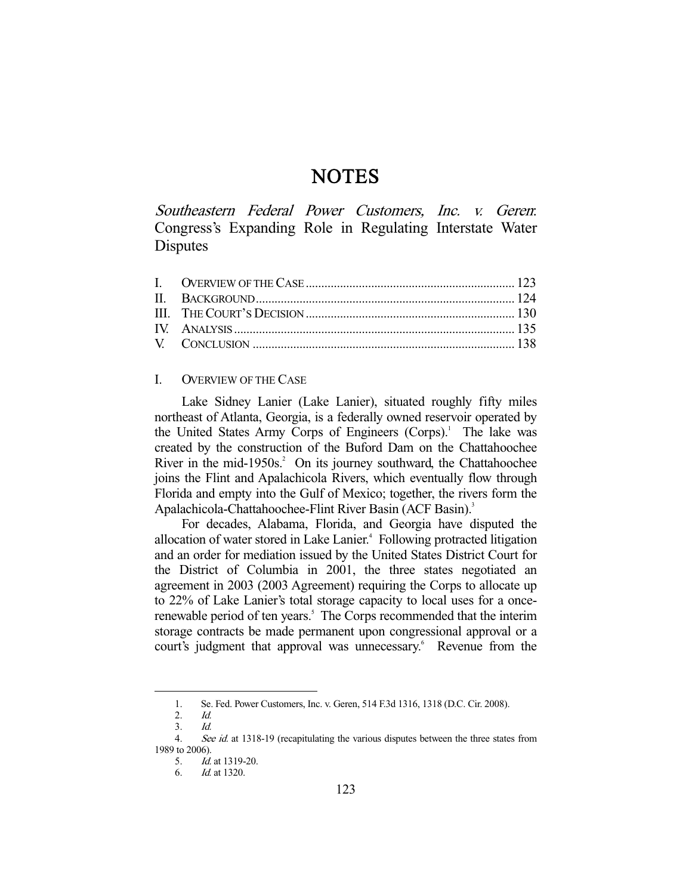# **NOTES**

Southeastern Federal Power Customers, Inc. v. Geren: Congress's Expanding Role in Regulating Interstate Water **Disputes** 

# I. OVERVIEW OF THE CASE

 Lake Sidney Lanier (Lake Lanier), situated roughly fifty miles northeast of Atlanta, Georgia, is a federally owned reservoir operated by the United States Army Corps of Engineers (Corps).<sup>1</sup> The lake was created by the construction of the Buford Dam on the Chattahoochee River in the mid-1950s. $2$  On its journey southward, the Chattahoochee joins the Flint and Apalachicola Rivers, which eventually flow through Florida and empty into the Gulf of Mexico; together, the rivers form the Apalachicola-Chattahoochee-Flint River Basin (ACF Basin).<sup>3</sup>

 For decades, Alabama, Florida, and Georgia have disputed the allocation of water stored in Lake Lanier.<sup>4</sup> Following protracted litigation and an order for mediation issued by the United States District Court for the District of Columbia in 2001, the three states negotiated an agreement in 2003 (2003 Agreement) requiring the Corps to allocate up to 22% of Lake Lanier's total storage capacity to local uses for a oncerenewable period of ten years.<sup>5</sup> The Corps recommended that the interim storage contracts be made permanent upon congressional approval or a court's judgment that approval was unnecessary.<sup>6</sup> Revenue from the

1. Se. Fed. Power Customers, Inc. v. Geren, 514 F.3d 1316, 1318 (D.C. Cir. 2008).

 <sup>2.</sup> Id.

 <sup>3.</sup> Id.

<sup>4.</sup> See id. at 1318-19 (recapitulating the various disputes between the three states from 1989 to 2006).

 <sup>5.</sup> Id. at 1319-20.

 <sup>6.</sup> Id. at 1320.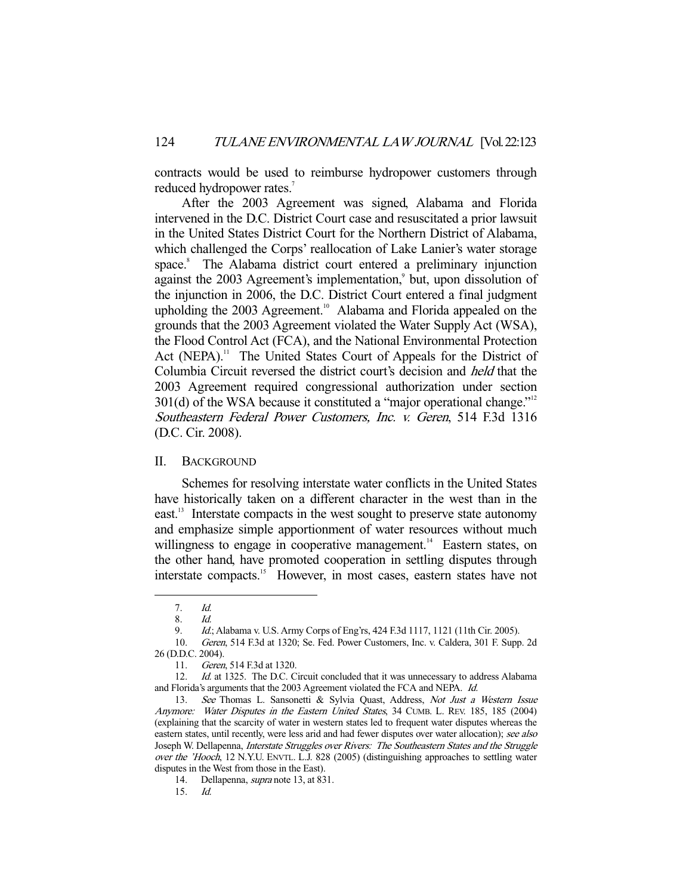contracts would be used to reimburse hydropower customers through reduced hydropower rates.<sup>7</sup>

 After the 2003 Agreement was signed, Alabama and Florida intervened in the D.C. District Court case and resuscitated a prior lawsuit in the United States District Court for the Northern District of Alabama, which challenged the Corps' reallocation of Lake Lanier's water storage space.<sup>8</sup> The Alabama district court entered a preliminary injunction against the 2003 Agreement's implementation,<sup>9</sup> but, upon dissolution of the injunction in 2006, the D.C. District Court entered a final judgment upholding the 2003 Agreement.<sup>10</sup> Alabama and Florida appealed on the grounds that the 2003 Agreement violated the Water Supply Act (WSA), the Flood Control Act (FCA), and the National Environmental Protection Act (NEPA).<sup>11</sup> The United States Court of Appeals for the District of Columbia Circuit reversed the district court's decision and held that the 2003 Agreement required congressional authorization under section  $301(d)$  of the WSA because it constituted a "major operational change."<sup>12</sup> Southeastern Federal Power Customers, Inc. v. Geren, 514 F.3d 1316 (D.C. Cir. 2008).

#### II. BACKGROUND

 Schemes for resolving interstate water conflicts in the United States have historically taken on a different character in the west than in the east.<sup>13</sup> Interstate compacts in the west sought to preserve state autonomy and emphasize simple apportionment of water resources without much willingness to engage in cooperative management.<sup>14</sup> Eastern states, on the other hand, have promoted cooperation in settling disputes through interstate compacts.<sup>15</sup> However, in most cases, eastern states have not

 <sup>7.</sup> Id.

 <sup>8.</sup> Id.

 <sup>9.</sup> Id.; Alabama v. U.S. Army Corps of Eng'rs, 424 F.3d 1117, 1121 (11th Cir. 2005).

 <sup>10.</sup> Geren, 514 F.3d at 1320; Se. Fed. Power Customers, Inc. v. Caldera, 301 F. Supp. 2d 26 (D.D.C. 2004).

 <sup>11.</sup> Geren, 514 F.3d at 1320.

<sup>12.</sup> Id. at 1325. The D.C. Circuit concluded that it was unnecessary to address Alabama and Florida's arguments that the 2003 Agreement violated the FCA and NEPA. Id.

<sup>13.</sup> See Thomas L. Sansonetti & Sylvia Quast, Address, Not Just a Western Issue Anymore: Water Disputes in the Eastern United States, 34 CUMB. L. REV. 185, 185 (2004) (explaining that the scarcity of water in western states led to frequent water disputes whereas the eastern states, until recently, were less arid and had fewer disputes over water allocation); see also Joseph W. Dellapenna, Interstate Struggles over Rivers: The Southeastern States and the Struggle over the 'Hooch, 12 N.Y.U. ENVTL. L.J. 828 (2005) (distinguishing approaches to settling water disputes in the West from those in the East).

 <sup>14.</sup> Dellapenna, supra note 13, at 831.

 <sup>15.</sup> Id.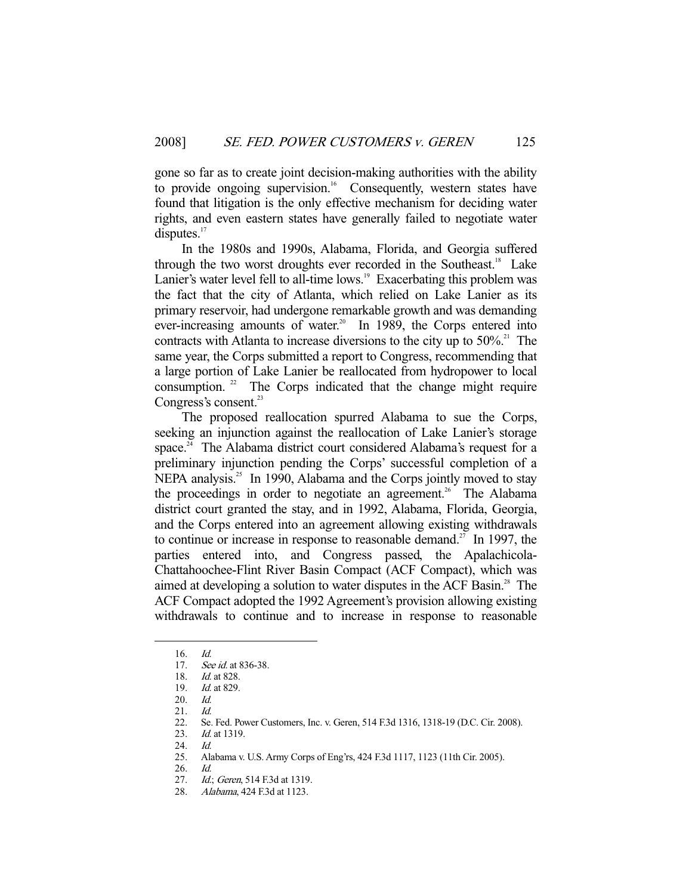gone so far as to create joint decision-making authorities with the ability to provide ongoing supervision.<sup>16</sup> Consequently, western states have found that litigation is the only effective mechanism for deciding water rights, and even eastern states have generally failed to negotiate water disputes. $17$ 

 In the 1980s and 1990s, Alabama, Florida, and Georgia suffered through the two worst droughts ever recorded in the Southeast.<sup>18</sup> Lake Lanier's water level fell to all-time lows.<sup>19</sup> Exacerbating this problem was the fact that the city of Atlanta, which relied on Lake Lanier as its primary reservoir, had undergone remarkable growth and was demanding ever-increasing amounts of water.<sup>20</sup> In 1989, the Corps entered into contracts with Atlanta to increase diversions to the city up to  $50\%$ <sup>21</sup>. The same year, the Corps submitted a report to Congress, recommending that a large portion of Lake Lanier be reallocated from hydropower to local consumption.  $2^2$  The Corps indicated that the change might require Congress's consent.<sup>23</sup>

 The proposed reallocation spurred Alabama to sue the Corps, seeking an injunction against the reallocation of Lake Lanier's storage space.<sup>24</sup> The Alabama district court considered Alabama's request for a preliminary injunction pending the Corps' successful completion of a NEPA analysis.<sup>25</sup> In 1990, Alabama and the Corps jointly moved to stay the proceedings in order to negotiate an agreement.<sup>26</sup> The Alabama district court granted the stay, and in 1992, Alabama, Florida, Georgia, and the Corps entered into an agreement allowing existing withdrawals to continue or increase in response to reasonable demand.<sup>27</sup> In 1997, the parties entered into, and Congress passed, the Apalachicola-Chattahoochee-Flint River Basin Compact (ACF Compact), which was aimed at developing a solution to water disputes in the ACF Basin.<sup>28</sup> The ACF Compact adopted the 1992 Agreement's provision allowing existing withdrawals to continue and to increase in response to reasonable

 <sup>16.</sup> Id.

<sup>17.</sup> See id. at 836-38.

<sup>18.</sup> *Id.* at 828.

 <sup>19.</sup> Id. at 829.

 <sup>20.</sup> Id.

<sup>21.</sup> *Id.*<br>22. Se. 22. Se. Fed. Power Customers, Inc. v. Geren, 514 F.3d 1316, 1318-19 (D.C. Cir. 2008).<br>23. Id. at 1319.

Id. at 1319.

<sup>24.</sup> *Id.*<br>25. Al

 <sup>25.</sup> Alabama v. U.S. Army Corps of Eng'rs, 424 F.3d 1117, 1123 (11th Cir. 2005).

 <sup>26.</sup> Id.

<sup>27.</sup> *Id.*; Geren, 514 F.3d at 1319.

 <sup>28.</sup> Alabama, 424 F.3d at 1123.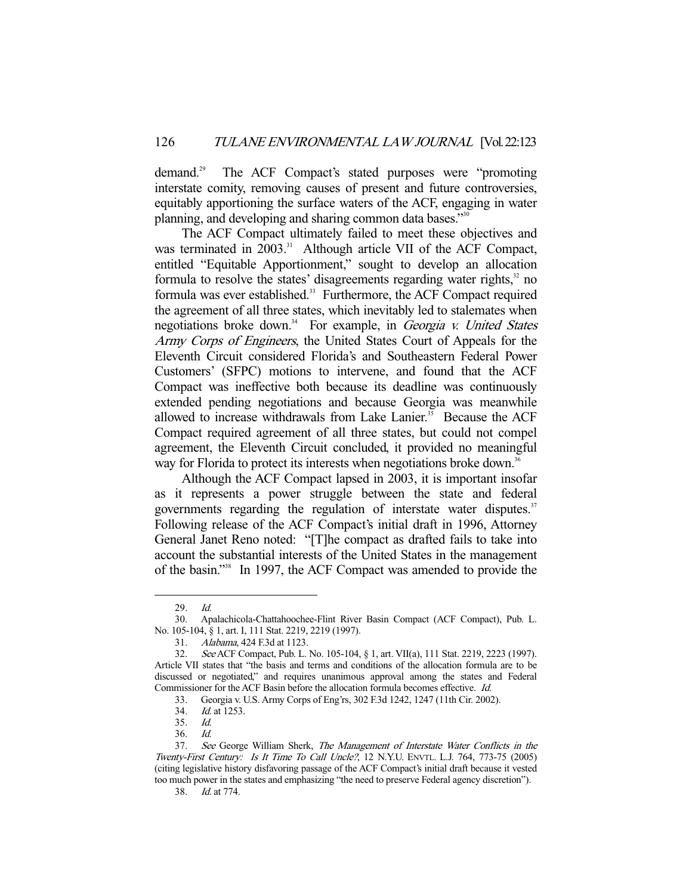demand.29 The ACF Compact's stated purposes were "promoting interstate comity, removing causes of present and future controversies, equitably apportioning the surface waters of the ACF, engaging in water planning, and developing and sharing common data bases."30

 The ACF Compact ultimately failed to meet these objectives and was terminated in 2003.<sup>31</sup> Although article VII of the ACF Compact, entitled "Equitable Apportionment," sought to develop an allocation formula to resolve the states' disagreements regarding water rights, $32$  no formula was ever established.<sup>33</sup> Furthermore, the ACF Compact required the agreement of all three states, which inevitably led to stalemates when negotiations broke down.<sup>34</sup> For example, in *Georgia v. United States* Army Corps of Engineers, the United States Court of Appeals for the Eleventh Circuit considered Florida's and Southeastern Federal Power Customers' (SFPC) motions to intervene, and found that the ACF Compact was ineffective both because its deadline was continuously extended pending negotiations and because Georgia was meanwhile allowed to increase withdrawals from Lake Lanier.<sup>35</sup> Because the ACF Compact required agreement of all three states, but could not compel agreement, the Eleventh Circuit concluded, it provided no meaningful way for Florida to protect its interests when negotiations broke down.<sup>36</sup>

 Although the ACF Compact lapsed in 2003, it is important insofar as it represents a power struggle between the state and federal governments regarding the regulation of interstate water disputes.<sup>37</sup> Following release of the ACF Compact's initial draft in 1996, Attorney General Janet Reno noted: "[T]he compact as drafted fails to take into account the substantial interests of the United States in the management of the basin."38 In 1997, the ACF Compact was amended to provide the

 <sup>29.</sup> Id.

 <sup>30.</sup> Apalachicola-Chattahoochee-Flint River Basin Compact (ACF Compact), Pub. L. No. 105-104, § 1, art. I, 111 Stat. 2219, 2219 (1997).

 <sup>31.</sup> Alabama, 424 F.3d at 1123.

 <sup>32.</sup> See ACF Compact, Pub. L. No. 105-104, § 1, art. VII(a), 111 Stat. 2219, 2223 (1997). Article VII states that "the basis and terms and conditions of the allocation formula are to be discussed or negotiated," and requires unanimous approval among the states and Federal Commissioner for the ACF Basin before the allocation formula becomes effective. Id.

<sup>33.</sup> Georgia v. U.S. Army Corps of Eng'rs, 302 F.3d 1242, 1247 (11th Cir. 2002).<br>34. Id. at 1253.

Id. at 1253.

 <sup>35.</sup> Id.

 <sup>36.</sup> Id.

<sup>37.</sup> See George William Sherk, The Management of Interstate Water Conflicts in the Twenty-First Century: Is It Time To Call Uncle?, 12 N.Y.U. ENVTL. L.J. 764, 773-75 (2005) (citing legislative history disfavoring passage of the ACF Compact's initial draft because it vested too much power in the states and emphasizing "the need to preserve Federal agency discretion").

 <sup>38.</sup> Id. at 774.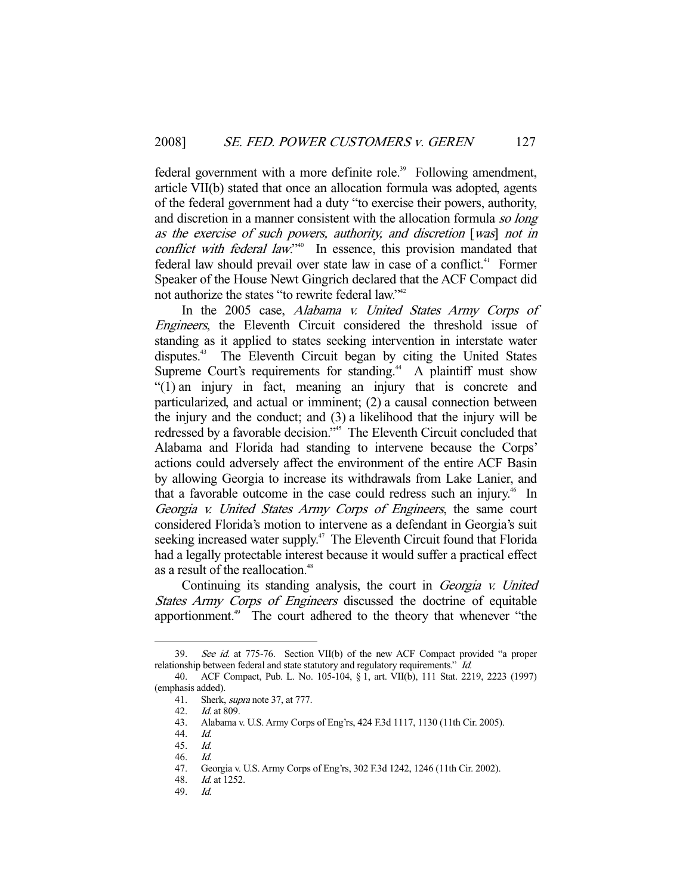federal government with a more definite role.<sup>39</sup> Following amendment, article VII(b) stated that once an allocation formula was adopted, agents of the federal government had a duty "to exercise their powers, authority, and discretion in a manner consistent with the allocation formula so long as the exercise of such powers, authority, and discretion [was] not in conflict with federal law."<sup>40</sup> In essence, this provision mandated that federal law should prevail over state law in case of a conflict.<sup>41</sup> Former Speaker of the House Newt Gingrich declared that the ACF Compact did not authorize the states "to rewrite federal law."<sup>42</sup>

In the 2005 case, Alabama v. United States Army Corps of Engineers, the Eleventh Circuit considered the threshold issue of standing as it applied to states seeking intervention in interstate water disputes.<sup>43</sup> The Eleventh Circuit began by citing the United States Supreme Court's requirements for standing.<sup>44</sup> A plaintiff must show "(1) an injury in fact, meaning an injury that is concrete and particularized, and actual or imminent; (2) a causal connection between the injury and the conduct; and (3) a likelihood that the injury will be redressed by a favorable decision."45 The Eleventh Circuit concluded that Alabama and Florida had standing to intervene because the Corps' actions could adversely affect the environment of the entire ACF Basin by allowing Georgia to increase its withdrawals from Lake Lanier, and that a favorable outcome in the case could redress such an injury.<sup>46</sup> In Georgia v. United States Army Corps of Engineers, the same court considered Florida's motion to intervene as a defendant in Georgia's suit seeking increased water supply.<sup>47</sup> The Eleventh Circuit found that Florida had a legally protectable interest because it would suffer a practical effect as a result of the reallocation.<sup>48</sup>

 Continuing its standing analysis, the court in Georgia v. United States Army Corps of Engineers discussed the doctrine of equitable apportionment.<sup>49</sup> The court adhered to the theory that whenever "the

<sup>39.</sup> See id. at 775-76. Section VII(b) of the new ACF Compact provided "a proper relationship between federal and state statutory and regulatory requirements." Id.

 <sup>40.</sup> ACF Compact, Pub. L. No. 105-104, § 1, art. VII(b), 111 Stat. 2219, 2223 (1997) (emphasis added).

 <sup>41.</sup> Sherk, supra note 37, at 777.

 <sup>42.</sup> Id. at 809.

 <sup>43.</sup> Alabama v. U.S. Army Corps of Eng'rs, 424 F.3d 1117, 1130 (11th Cir. 2005).

 <sup>44.</sup> Id.

 <sup>45.</sup> Id.

 <sup>46.</sup> Id.

 <sup>47.</sup> Georgia v. U.S. Army Corps of Eng'rs, 302 F.3d 1242, 1246 (11th Cir. 2002).

 <sup>48.</sup> Id. at 1252.

 <sup>49.</sup> Id.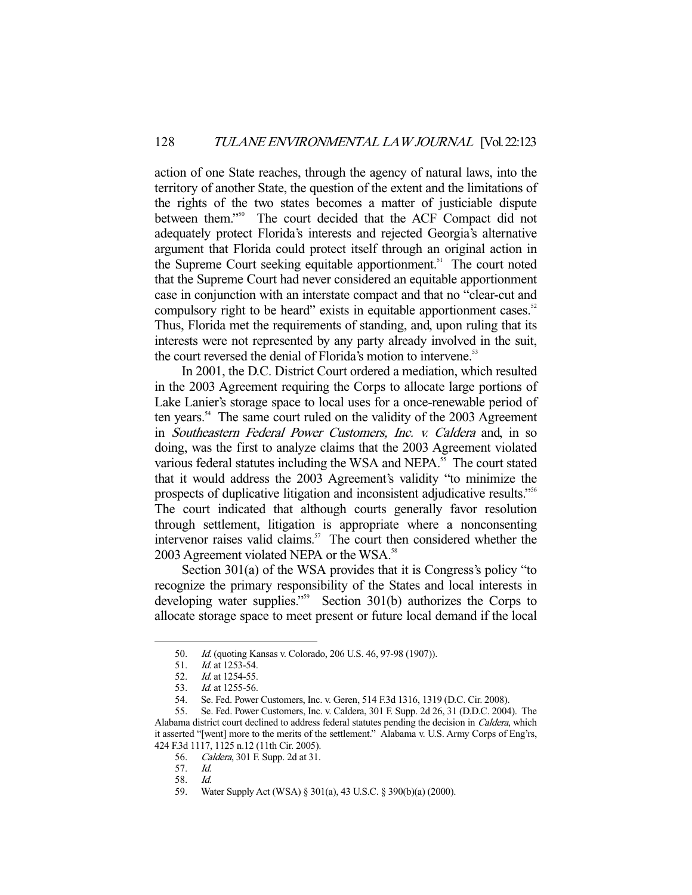action of one State reaches, through the agency of natural laws, into the territory of another State, the question of the extent and the limitations of the rights of the two states becomes a matter of justiciable dispute between them."50 The court decided that the ACF Compact did not adequately protect Florida's interests and rejected Georgia's alternative argument that Florida could protect itself through an original action in the Supreme Court seeking equitable apportionment.<sup>51</sup> The court noted that the Supreme Court had never considered an equitable apportionment case in conjunction with an interstate compact and that no "clear-cut and compulsory right to be heard" exists in equitable apportionment cases.<sup>52</sup> Thus, Florida met the requirements of standing, and, upon ruling that its interests were not represented by any party already involved in the suit, the court reversed the denial of Florida's motion to intervene.<sup>53</sup>

 In 2001, the D.C. District Court ordered a mediation, which resulted in the 2003 Agreement requiring the Corps to allocate large portions of Lake Lanier's storage space to local uses for a once-renewable period of ten years.<sup>54</sup> The same court ruled on the validity of the 2003 Agreement in Southeastern Federal Power Customers, Inc. v. Caldera and, in so doing, was the first to analyze claims that the 2003 Agreement violated various federal statutes including the WSA and NEPA.<sup>55</sup> The court stated that it would address the 2003 Agreement's validity "to minimize the prospects of duplicative litigation and inconsistent adjudicative results."56 The court indicated that although courts generally favor resolution through settlement, litigation is appropriate where a nonconsenting intervenor raises valid claims.<sup>57</sup> The court then considered whether the 2003 Agreement violated NEPA or the WSA.<sup>58</sup>

 Section 301(a) of the WSA provides that it is Congress's policy "to recognize the primary responsibility of the States and local interests in developing water supplies."<sup>59</sup> Section 301(b) authorizes the Corps to allocate storage space to meet present or future local demand if the local

56. Caldera, 301 F. Supp. 2d at 31.

 <sup>50.</sup> Id. (quoting Kansas v. Colorado, 206 U.S. 46, 97-98 (1907)).

 <sup>51.</sup> Id. at 1253-54.

 <sup>52.</sup> Id. at 1254-55.

 <sup>53.</sup> Id. at 1255-56.

 <sup>54.</sup> Se. Fed. Power Customers, Inc. v. Geren, 514 F.3d 1316, 1319 (D.C. Cir. 2008).

 <sup>55.</sup> Se. Fed. Power Customers, Inc. v. Caldera, 301 F. Supp. 2d 26, 31 (D.D.C. 2004). The Alabama district court declined to address federal statutes pending the decision in Caldera, which it asserted "[went] more to the merits of the settlement." Alabama v. U.S. Army Corps of Eng'rs, 424 F.3d 1117, 1125 n.12 (11th Cir. 2005).

 <sup>57.</sup> Id.

 <sup>58.</sup> Id.

 <sup>59.</sup> Water Supply Act (WSA) § 301(a), 43 U.S.C. § 390(b)(a) (2000).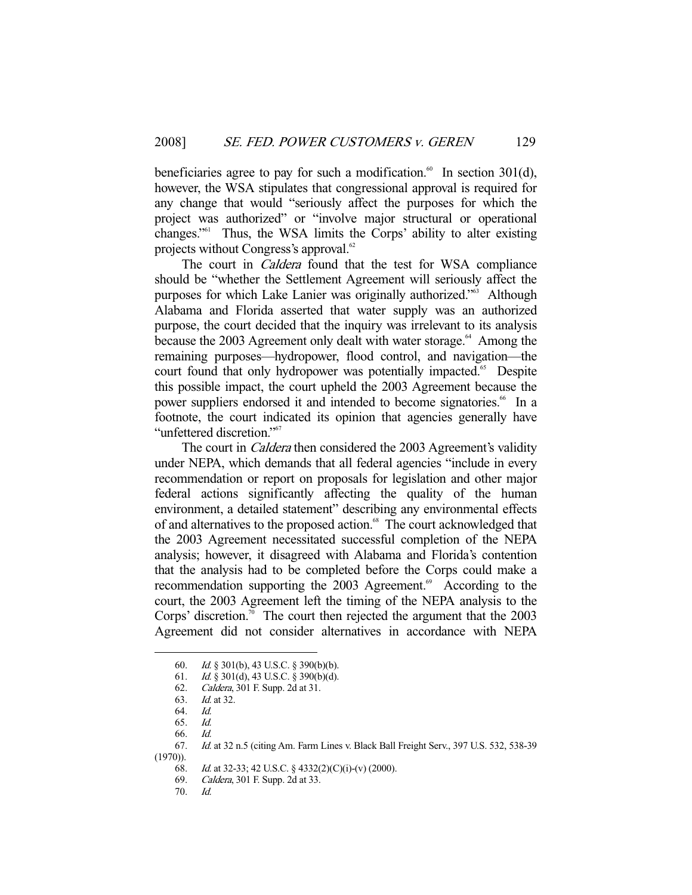beneficiaries agree to pay for such a modification.<sup>60</sup> In section 301(d), however, the WSA stipulates that congressional approval is required for any change that would "seriously affect the purposes for which the project was authorized" or "involve major structural or operational changes."61 Thus, the WSA limits the Corps' ability to alter existing projects without Congress's approval. $62$ 

The court in *Caldera* found that the test for WSA compliance should be "whether the Settlement Agreement will seriously affect the purposes for which Lake Lanier was originally authorized."<sup>63</sup> Although Alabama and Florida asserted that water supply was an authorized purpose, the court decided that the inquiry was irrelevant to its analysis because the 2003 Agreement only dealt with water storage.<sup>64</sup> Among the remaining purposes—hydropower, flood control, and navigation—the court found that only hydropower was potentially impacted.<sup>65</sup> Despite this possible impact, the court upheld the 2003 Agreement because the power suppliers endorsed it and intended to become signatories.<sup>66</sup> In a footnote, the court indicated its opinion that agencies generally have "unfettered discretion."<sup>67</sup>

The court in *Caldera* then considered the 2003 Agreement's validity under NEPA, which demands that all federal agencies "include in every recommendation or report on proposals for legislation and other major federal actions significantly affecting the quality of the human environment, a detailed statement" describing any environmental effects of and alternatives to the proposed action.<sup>68</sup> The court acknowledged that the 2003 Agreement necessitated successful completion of the NEPA analysis; however, it disagreed with Alabama and Florida's contention that the analysis had to be completed before the Corps could make a recommendation supporting the 2003 Agreement.<sup>69</sup> According to the court, the 2003 Agreement left the timing of the NEPA analysis to the Corps' discretion.<sup>70</sup> The court then rejected the argument that the  $2003$ Agreement did not consider alternatives in accordance with NEPA

 <sup>60.</sup> Id. § 301(b), 43 U.S.C. § 390(b)(b).

 <sup>61.</sup> Id. § 301(d), 43 U.S.C. § 390(b)(d).

 <sup>62.</sup> Caldera, 301 F. Supp. 2d at 31.

 <sup>63.</sup> Id. at 32.

 <sup>64.</sup> Id.

 <sup>65.</sup> Id.

 <sup>66.</sup> Id.

 <sup>67.</sup> Id. at 32 n.5 (citing Am. Farm Lines v. Black Ball Freight Serv., 397 U.S. 532, 538-39

 $(1970)$ ).

 <sup>68.</sup> Id. at 32-33; 42 U.S.C. § 4332(2)(C)(i)-(v) (2000).

 <sup>69.</sup> Caldera, 301 F. Supp. 2d at 33.

 <sup>70.</sup> Id.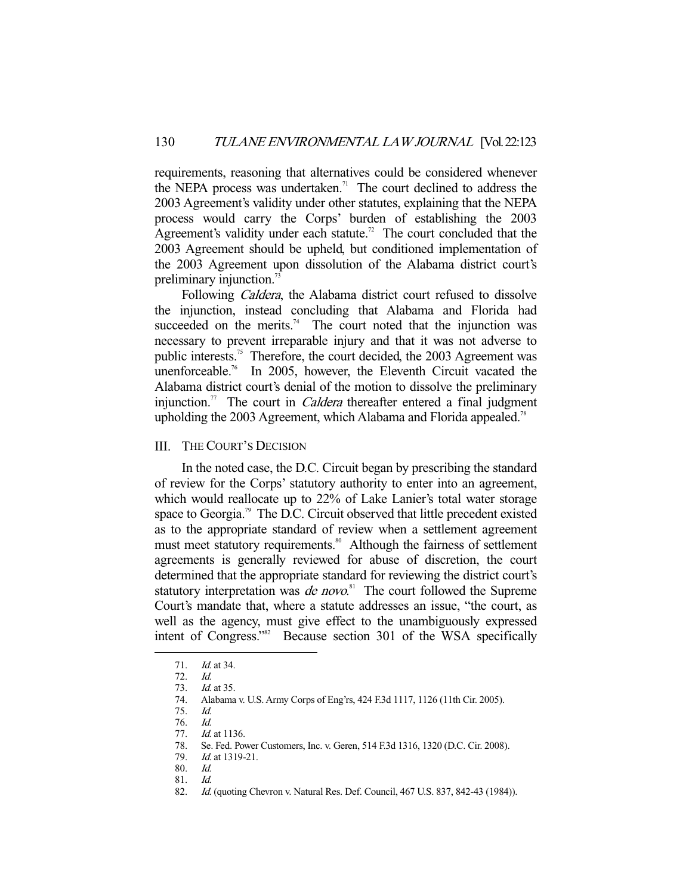requirements, reasoning that alternatives could be considered whenever the NEPA process was undertaken.<sup>71</sup> The court declined to address the 2003 Agreement's validity under other statutes, explaining that the NEPA process would carry the Corps' burden of establishing the 2003 Agreement's validity under each statute.<sup>72</sup> The court concluded that the 2003 Agreement should be upheld, but conditioned implementation of the 2003 Agreement upon dissolution of the Alabama district court's preliminary injunction.<sup>73</sup>

 Following Caldera, the Alabama district court refused to dissolve the injunction, instead concluding that Alabama and Florida had succeeded on the merits.<sup>74</sup> The court noted that the injunction was necessary to prevent irreparable injury and that it was not adverse to public interests.<sup>75</sup> Therefore, the court decided, the 2003 Agreement was unenforceable.<sup>76</sup> In 2005, however, the Eleventh Circuit vacated the Alabama district court's denial of the motion to dissolve the preliminary injunction.<sup>77</sup> The court in *Caldera* thereafter entered a final judgment upholding the 2003 Agreement, which Alabama and Florida appealed.<sup>78</sup>

### III. THE COURT'S DECISION

 In the noted case, the D.C. Circuit began by prescribing the standard of review for the Corps' statutory authority to enter into an agreement, which would reallocate up to 22% of Lake Lanier's total water storage space to Georgia.<sup>79</sup> The D.C. Circuit observed that little precedent existed as to the appropriate standard of review when a settlement agreement must meet statutory requirements.<sup>80</sup> Although the fairness of settlement agreements is generally reviewed for abuse of discretion, the court determined that the appropriate standard for reviewing the district court's statutory interpretation was *de novo*.<sup>81</sup> The court followed the Supreme Court's mandate that, where a statute addresses an issue, "the court, as well as the agency, must give effect to the unambiguously expressed intent of Congress."82 Because section 301 of the WSA specifically

 <sup>71.</sup> Id. at 34.

 <sup>72.</sup> Id.

 <sup>73.</sup> Id. at 35.

 <sup>74.</sup> Alabama v. U.S. Army Corps of Eng'rs, 424 F.3d 1117, 1126 (11th Cir. 2005).

 <sup>75.</sup> Id.

 <sup>76.</sup> Id.  $Id$  at 1136.

 <sup>78.</sup> Se. Fed. Power Customers, Inc. v. Geren, 514 F.3d 1316, 1320 (D.C. Cir. 2008).

 <sup>79.</sup> Id. at 1319-21.

 <sup>80.</sup> Id.

 <sup>81.</sup> Id.

<sup>82.</sup> *Id.* (quoting Chevron v. Natural Res. Def. Council, 467 U.S. 837, 842-43 (1984)).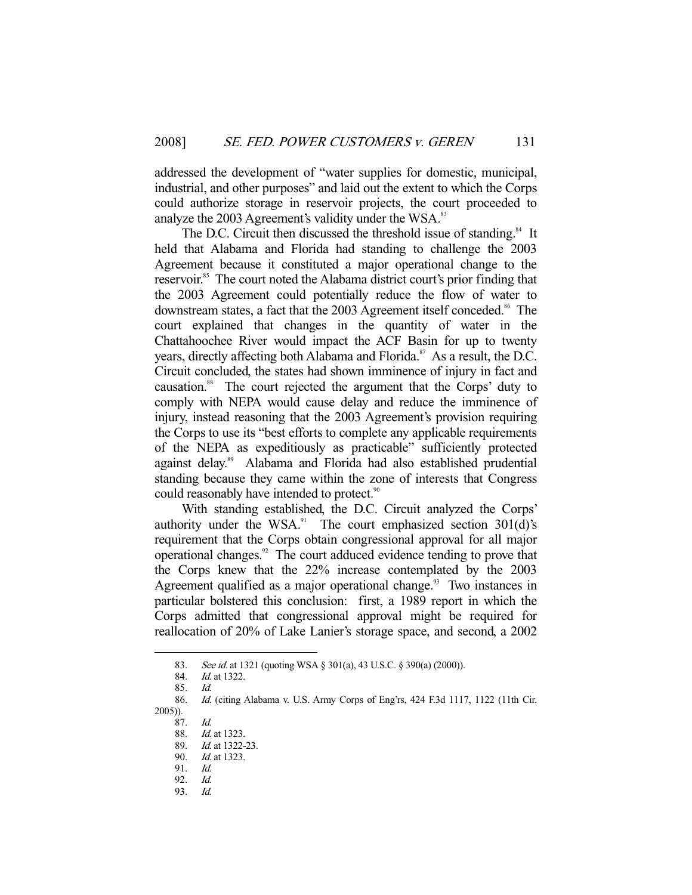addressed the development of "water supplies for domestic, municipal, industrial, and other purposes" and laid out the extent to which the Corps could authorize storage in reservoir projects, the court proceeded to analyze the 2003 Agreement's validity under the WSA.<sup>83</sup>

The D.C. Circuit then discussed the threshold issue of standing.<sup>84</sup> It held that Alabama and Florida had standing to challenge the 2003 Agreement because it constituted a major operational change to the reservoir.<sup>85</sup> The court noted the Alabama district court's prior finding that the 2003 Agreement could potentially reduce the flow of water to downstream states, a fact that the 2003 Agreement itself conceded.<sup>86</sup> The court explained that changes in the quantity of water in the Chattahoochee River would impact the ACF Basin for up to twenty years, directly affecting both Alabama and Florida.<sup>87</sup> As a result, the D.C. Circuit concluded, the states had shown imminence of injury in fact and causation.<sup>88</sup> The court rejected the argument that the Corps' duty to comply with NEPA would cause delay and reduce the imminence of injury, instead reasoning that the 2003 Agreement's provision requiring the Corps to use its "best efforts to complete any applicable requirements of the NEPA as expeditiously as practicable" sufficiently protected against delay.<sup>89</sup> Alabama and Florida had also established prudential standing because they came within the zone of interests that Congress could reasonably have intended to protect.<sup>90</sup>

 With standing established, the D.C. Circuit analyzed the Corps' authority under the WSA. $^{91}$  The court emphasized section 301(d)'s requirement that the Corps obtain congressional approval for all major operational changes.92 The court adduced evidence tending to prove that the Corps knew that the 22% increase contemplated by the 2003 Agreement qualified as a major operational change.<sup>93</sup> Two instances in particular bolstered this conclusion: first, a 1989 report in which the Corps admitted that congressional approval might be required for reallocation of 20% of Lake Lanier's storage space, and second, a 2002

-

93. Id.

<sup>83.</sup> See id. at 1321 (quoting WSA § 301(a), 43 U.S.C. § 390(a) (2000)).

<sup>84.</sup> *Id.* at 1322.

 <sup>85.</sup> Id.

 <sup>86.</sup> Id. (citing Alabama v. U.S. Army Corps of Eng'rs, 424 F.3d 1117, 1122 (11th Cir. 2005)).

 <sup>87.</sup> Id.

 <sup>88.</sup> Id. at 1323.

<sup>89.</sup> *Id.* at 1322-23.

<sup>90.</sup> *Id.* at 1323.

 <sup>91.</sup> Id.

 <sup>92.</sup> Id.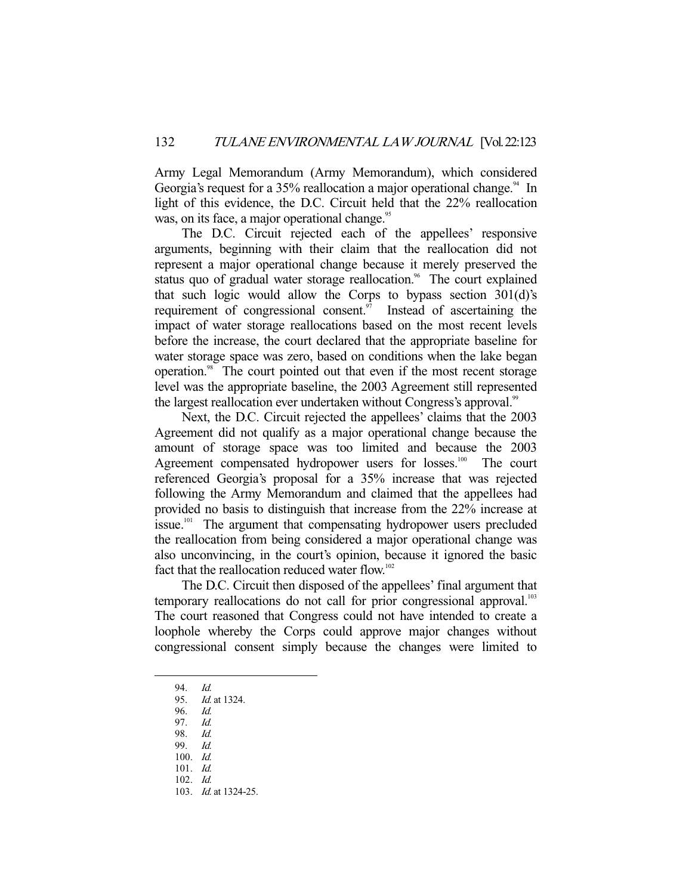Army Legal Memorandum (Army Memorandum), which considered Georgia's request for a 35% reallocation a major operational change.<sup>94</sup> In light of this evidence, the D.C. Circuit held that the 22% reallocation was, on its face, a major operational change.<sup>95</sup>

 The D.C. Circuit rejected each of the appellees' responsive arguments, beginning with their claim that the reallocation did not represent a major operational change because it merely preserved the status quo of gradual water storage reallocation.<sup>96</sup> The court explained that such logic would allow the Corps to bypass section 301(d)'s requirement of congressional consent.<sup>97</sup> Instead of ascertaining the impact of water storage reallocations based on the most recent levels before the increase, the court declared that the appropriate baseline for water storage space was zero, based on conditions when the lake began operation.98 The court pointed out that even if the most recent storage level was the appropriate baseline, the 2003 Agreement still represented the largest reallocation ever undertaken without Congress's approval.<sup>99</sup>

 Next, the D.C. Circuit rejected the appellees' claims that the 2003 Agreement did not qualify as a major operational change because the amount of storage space was too limited and because the 2003 Agreement compensated hydropower users for losses.<sup>100</sup> The court referenced Georgia's proposal for a 35% increase that was rejected following the Army Memorandum and claimed that the appellees had provided no basis to distinguish that increase from the 22% increase at issue.<sup>101</sup> The argument that compensating hydropower users precluded the reallocation from being considered a major operational change was also unconvincing, in the court's opinion, because it ignored the basic fact that the reallocation reduced water flow.<sup>102</sup>

 The D.C. Circuit then disposed of the appellees' final argument that temporary reallocations do not call for prior congressional approval.<sup>103</sup> The court reasoned that Congress could not have intended to create a loophole whereby the Corps could approve major changes without congressional consent simply because the changes were limited to

-

101. Id.

 <sup>94.</sup> Id.

 <sup>95.</sup> Id. at 1324.

 <sup>96.</sup> Id.

 <sup>97.</sup> Id.

 <sup>98.</sup> Id.

 <sup>99.</sup> Id. 100. Id.

 <sup>102.</sup> Id.

 <sup>103.</sup> Id. at 1324-25.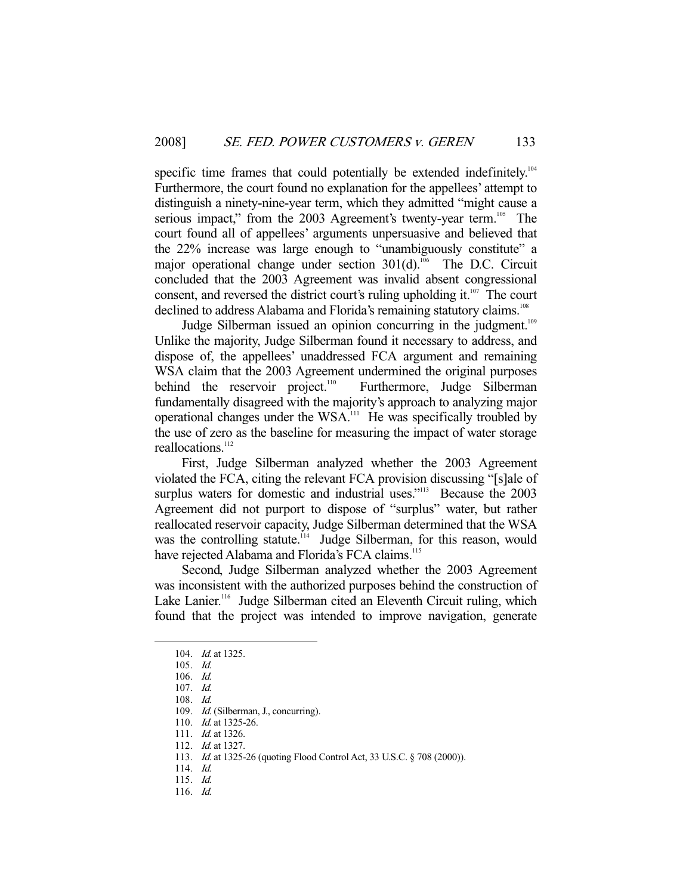specific time frames that could potentially be extended indefinitely.<sup>104</sup> Furthermore, the court found no explanation for the appellees' attempt to distinguish a ninety-nine-year term, which they admitted "might cause a serious impact," from the 2003 Agreement's twenty-year term.<sup>105</sup> The court found all of appellees' arguments unpersuasive and believed that the 22% increase was large enough to "unambiguously constitute" a major operational change under section  $301(d)$ .<sup>106</sup> The D.C. Circuit concluded that the 2003 Agreement was invalid absent congressional consent, and reversed the district court's ruling upholding it. $107$  The court declined to address Alabama and Florida's remaining statutory claims.<sup>108</sup>

Judge Silberman issued an opinion concurring in the judgment.<sup>109</sup> Unlike the majority, Judge Silberman found it necessary to address, and dispose of, the appellees' unaddressed FCA argument and remaining WSA claim that the 2003 Agreement undermined the original purposes behind the reservoir project.<sup>110</sup> Furthermore, Judge Silberman fundamentally disagreed with the majority's approach to analyzing major operational changes under the WSA.111 He was specifically troubled by the use of zero as the baseline for measuring the impact of water storage reallocations.<sup>112</sup>

 First, Judge Silberman analyzed whether the 2003 Agreement violated the FCA, citing the relevant FCA provision discussing "[s]ale of surplus waters for domestic and industrial uses."<sup>113</sup> Because the 2003 Agreement did not purport to dispose of "surplus" water, but rather reallocated reservoir capacity, Judge Silberman determined that the WSA was the controlling statute.<sup>114</sup> Judge Silberman, for this reason, would have rejected Alabama and Florida's FCA claims.<sup>115</sup>

 Second, Judge Silberman analyzed whether the 2003 Agreement was inconsistent with the authorized purposes behind the construction of Lake Lanier.<sup>116</sup> Judge Silberman cited an Eleventh Circuit ruling, which found that the project was intended to improve navigation, generate

 <sup>104.</sup> Id. at 1325.

 <sup>105.</sup> Id.

 <sup>106.</sup> Id.

 <sup>107.</sup> Id.

 <sup>108.</sup> Id.

<sup>109.</sup> Id. (Silberman, J., concurring).

<sup>110.</sup> *Id.* at 1325-26.

<sup>111.</sup> *Id.* at 1326.

 <sup>112.</sup> Id. at 1327.

 <sup>113.</sup> Id. at 1325-26 (quoting Flood Control Act, 33 U.S.C. § 708 (2000)).

 <sup>114.</sup> Id.

 <sup>115.</sup> Id.

 <sup>116.</sup> Id.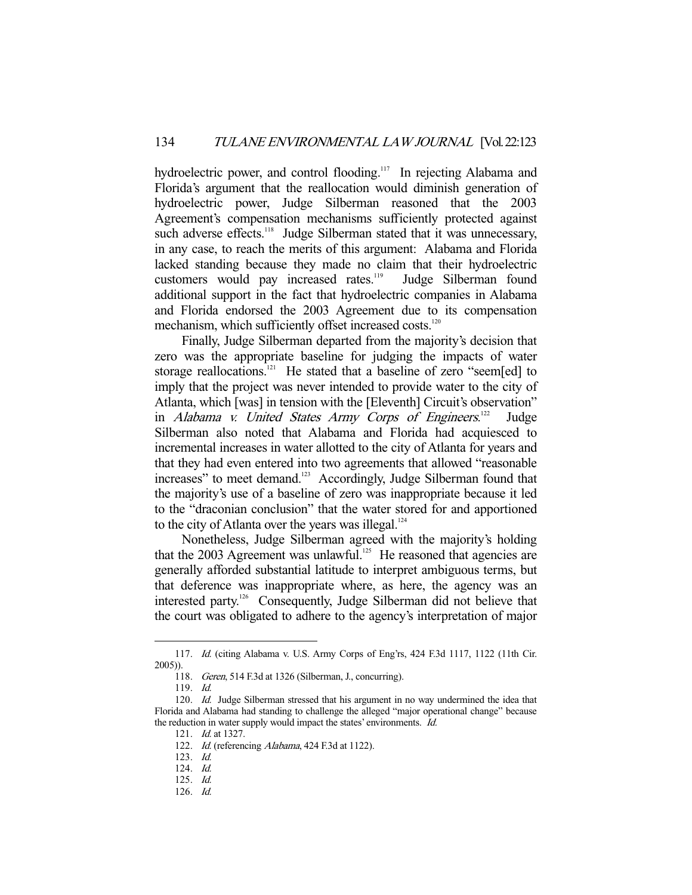hydroelectric power, and control flooding.<sup>117</sup> In rejecting Alabama and Florida's argument that the reallocation would diminish generation of hydroelectric power, Judge Silberman reasoned that the 2003 Agreement's compensation mechanisms sufficiently protected against such adverse effects.<sup>118</sup> Judge Silberman stated that it was unnecessary, in any case, to reach the merits of this argument: Alabama and Florida lacked standing because they made no claim that their hydroelectric customers would pay increased rates.<sup>119</sup> Judge Silberman found additional support in the fact that hydroelectric companies in Alabama and Florida endorsed the 2003 Agreement due to its compensation mechanism, which sufficiently offset increased costs.<sup>120</sup>

 Finally, Judge Silberman departed from the majority's decision that zero was the appropriate baseline for judging the impacts of water storage reallocations.<sup>121</sup> He stated that a baseline of zero "seem[ed] to imply that the project was never intended to provide water to the city of Atlanta, which [was] in tension with the [Eleventh] Circuit's observation" in Alabama v. United States Army Corps of Engineers.<sup>122</sup> Judge Silberman also noted that Alabama and Florida had acquiesced to incremental increases in water allotted to the city of Atlanta for years and that they had even entered into two agreements that allowed "reasonable increases" to meet demand.<sup>123</sup> Accordingly, Judge Silberman found that the majority's use of a baseline of zero was inappropriate because it led to the "draconian conclusion" that the water stored for and apportioned to the city of Atlanta over the years was illegal. $124$ 

 Nonetheless, Judge Silberman agreed with the majority's holding that the 2003 Agreement was unlawful.<sup>125</sup> He reasoned that agencies are generally afforded substantial latitude to interpret ambiguous terms, but that deference was inappropriate where, as here, the agency was an interested party.126 Consequently, Judge Silberman did not believe that the court was obligated to adhere to the agency's interpretation of major

 <sup>117.</sup> Id. (citing Alabama v. U.S. Army Corps of Eng'rs, 424 F.3d 1117, 1122 (11th Cir. 2005)).

 <sup>118.</sup> Geren, 514 F.3d at 1326 (Silberman, J., concurring).

 <sup>119.</sup> Id.

<sup>120.</sup> *Id.* Judge Silberman stressed that his argument in no way undermined the idea that Florida and Alabama had standing to challenge the alleged "major operational change" because the reduction in water supply would impact the states' environments. Id.

 <sup>121.</sup> Id. at 1327.

<sup>122.</sup> Id. (referencing Alabama, 424 F.3d at 1122).

 <sup>123.</sup> Id.

 <sup>124.</sup> Id.

 <sup>125.</sup> Id.

 <sup>126.</sup> Id.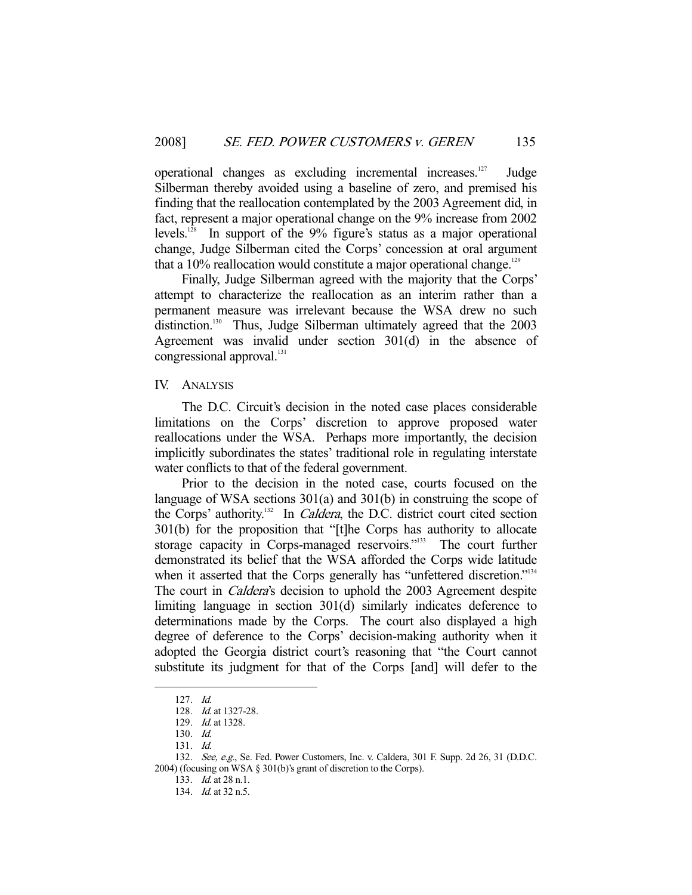operational changes as excluding incremental increases.127 Judge Silberman thereby avoided using a baseline of zero, and premised his finding that the reallocation contemplated by the 2003 Agreement did, in fact, represent a major operational change on the 9% increase from 2002 levels.<sup>128</sup> In support of the  $9\%$  figure's status as a major operational change, Judge Silberman cited the Corps' concession at oral argument that a  $10\%$  reallocation would constitute a major operational change.<sup>129</sup>

 Finally, Judge Silberman agreed with the majority that the Corps' attempt to characterize the reallocation as an interim rather than a permanent measure was irrelevant because the WSA drew no such distinction.<sup>130</sup> Thus, Judge Silberman ultimately agreed that the 2003 Agreement was invalid under section 301(d) in the absence of congressional approval.<sup>131</sup>

## IV. ANALYSIS

 The D.C. Circuit's decision in the noted case places considerable limitations on the Corps' discretion to approve proposed water reallocations under the WSA. Perhaps more importantly, the decision implicitly subordinates the states' traditional role in regulating interstate water conflicts to that of the federal government.

 Prior to the decision in the noted case, courts focused on the language of WSA sections 301(a) and 301(b) in construing the scope of the Corps' authority.<sup>132</sup> In *Caldera*, the D.C. district court cited section 301(b) for the proposition that "[t]he Corps has authority to allocate storage capacity in Corps-managed reservoirs."133 The court further demonstrated its belief that the WSA afforded the Corps wide latitude when it asserted that the Corps generally has "unfettered discretion."<sup>134</sup> The court in *Caldera's* decision to uphold the 2003 Agreement despite limiting language in section 301(d) similarly indicates deference to determinations made by the Corps. The court also displayed a high degree of deference to the Corps' decision-making authority when it adopted the Georgia district court's reasoning that "the Court cannot substitute its judgment for that of the Corps [and] will defer to the

 <sup>127.</sup> Id.

 <sup>128.</sup> Id. at 1327-28.

 <sup>129.</sup> Id. at 1328.

 <sup>130.</sup> Id.

 <sup>131.</sup> Id.

<sup>132.</sup> See, e.g., Se. Fed. Power Customers, Inc. v. Caldera, 301 F. Supp. 2d 26, 31 (D.D.C. 2004) (focusing on WSA § 301(b)'s grant of discretion to the Corps).

 <sup>133.</sup> Id. at 28 n.1.

 <sup>134.</sup> Id. at 32 n.5.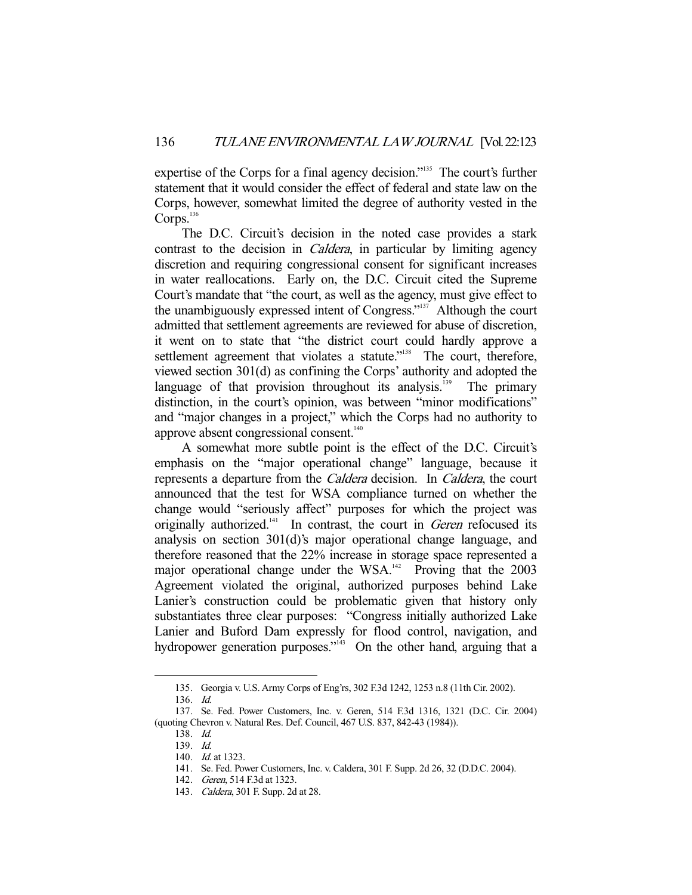expertise of the Corps for a final agency decision."<sup>135</sup> The court's further statement that it would consider the effect of federal and state law on the Corps, however, somewhat limited the degree of authority vested in the Corps.<sup>136</sup>

 The D.C. Circuit's decision in the noted case provides a stark contrast to the decision in *Caldera*, in particular by limiting agency discretion and requiring congressional consent for significant increases in water reallocations. Early on, the D.C. Circuit cited the Supreme Court's mandate that "the court, as well as the agency, must give effect to the unambiguously expressed intent of Congress."<sup>137</sup> Although the court admitted that settlement agreements are reviewed for abuse of discretion, it went on to state that "the district court could hardly approve a settlement agreement that violates a statute."<sup>138</sup> The court, therefore, viewed section 301(d) as confining the Corps' authority and adopted the language of that provision throughout its analysis.<sup>139</sup> The primary distinction, in the court's opinion, was between "minor modifications" and "major changes in a project," which the Corps had no authority to approve absent congressional consent.<sup>140</sup>

 A somewhat more subtle point is the effect of the D.C. Circuit's emphasis on the "major operational change" language, because it represents a departure from the Caldera decision. In Caldera, the court announced that the test for WSA compliance turned on whether the change would "seriously affect" purposes for which the project was originally authorized. $141$  In contrast, the court in *Geren* refocused its analysis on section 301(d)'s major operational change language, and therefore reasoned that the 22% increase in storage space represented a major operational change under the  $WSA$ <sup>142</sup> Proving that the 2003 Agreement violated the original, authorized purposes behind Lake Lanier's construction could be problematic given that history only substantiates three clear purposes: "Congress initially authorized Lake Lanier and Buford Dam expressly for flood control, navigation, and hydropower generation purposes."<sup>143</sup> On the other hand, arguing that a

 <sup>135.</sup> Georgia v. U.S. Army Corps of Eng'rs, 302 F.3d 1242, 1253 n.8 (11th Cir. 2002).

 <sup>136.</sup> Id.

 <sup>137.</sup> Se. Fed. Power Customers, Inc. v. Geren, 514 F.3d 1316, 1321 (D.C. Cir. 2004) (quoting Chevron v. Natural Res. Def. Council, 467 U.S. 837, 842-43 (1984)).

 <sup>138.</sup> Id.

 <sup>139.</sup> Id.

<sup>140.</sup> *Id.* at 1323.

 <sup>141.</sup> Se. Fed. Power Customers, Inc. v. Caldera, 301 F. Supp. 2d 26, 32 (D.D.C. 2004).

 <sup>142.</sup> Geren, 514 F.3d at 1323.

 <sup>143.</sup> Caldera, 301 F. Supp. 2d at 28.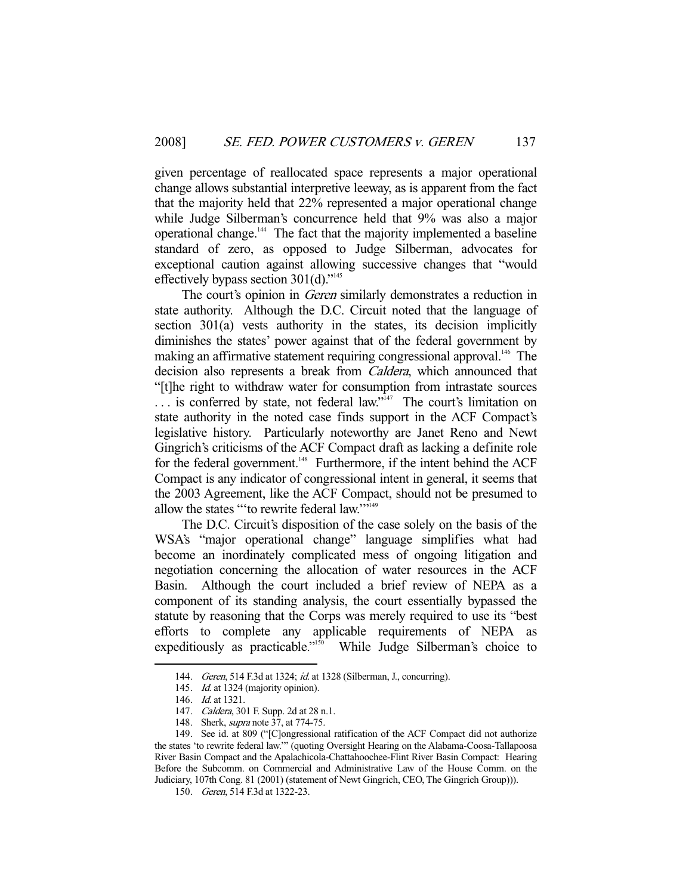given percentage of reallocated space represents a major operational change allows substantial interpretive leeway, as is apparent from the fact that the majority held that 22% represented a major operational change while Judge Silberman's concurrence held that 9% was also a major operational change.144 The fact that the majority implemented a baseline standard of zero, as opposed to Judge Silberman, advocates for exceptional caution against allowing successive changes that "would effectively bypass section  $301(d)$ ."<sup>145</sup>

The court's opinion in *Geren* similarly demonstrates a reduction in state authority. Although the D.C. Circuit noted that the language of section 301(a) vests authority in the states, its decision implicitly diminishes the states' power against that of the federal government by making an affirmative statement requiring congressional approval.<sup>146</sup> The decision also represents a break from Caldera, which announced that "[t]he right to withdraw water for consumption from intrastate sources  $\ldots$  is conferred by state, not federal law.<sup> $\frac{1}{47}$ </sup> The court's limitation on state authority in the noted case finds support in the ACF Compact's legislative history. Particularly noteworthy are Janet Reno and Newt Gingrich's criticisms of the ACF Compact draft as lacking a definite role for the federal government.<sup>148</sup> Furthermore, if the intent behind the ACF Compact is any indicator of congressional intent in general, it seems that the 2003 Agreement, like the ACF Compact, should not be presumed to allow the states "'to rewrite federal law."<sup>149</sup>

 The D.C. Circuit's disposition of the case solely on the basis of the WSA's "major operational change" language simplifies what had become an inordinately complicated mess of ongoing litigation and negotiation concerning the allocation of water resources in the ACF Basin. Although the court included a brief review of NEPA as a component of its standing analysis, the court essentially bypassed the statute by reasoning that the Corps was merely required to use its "best efforts to complete any applicable requirements of NEPA as expeditiously as practicable."<sup>150</sup> While Judge Silberman's choice to

<sup>144.</sup> Geren, 514 F.3d at 1324; id. at 1328 (Silberman, J., concurring).

<sup>145.</sup> Id. at 1324 (majority opinion).

 <sup>146.</sup> Id. at 1321.

<sup>147.</sup> Caldera, 301 F. Supp. 2d at 28 n.1.

<sup>148.</sup> Sherk, *supra* note 37, at 774-75.

 <sup>149.</sup> See id. at 809 ("[C]ongressional ratification of the ACF Compact did not authorize the states 'to rewrite federal law.'" (quoting Oversight Hearing on the Alabama-Coosa-Tallapoosa River Basin Compact and the Apalachicola-Chattahoochee-Flint River Basin Compact: Hearing Before the Subcomm. on Commercial and Administrative Law of the House Comm. on the Judiciary, 107th Cong. 81 (2001) (statement of Newt Gingrich, CEO, The Gingrich Group))).

 <sup>150.</sup> Geren, 514 F.3d at 1322-23.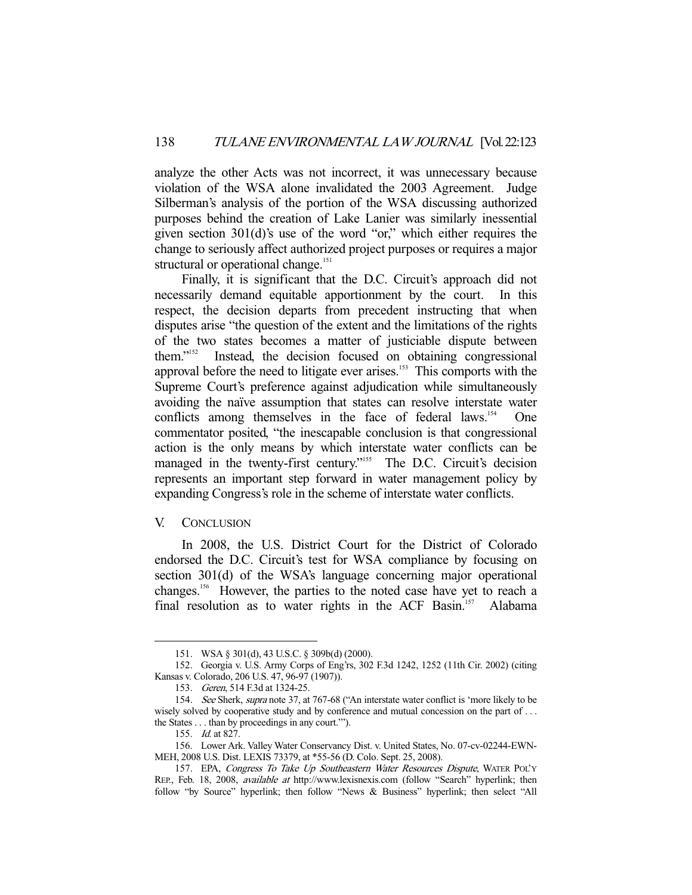analyze the other Acts was not incorrect, it was unnecessary because violation of the WSA alone invalidated the 2003 Agreement. Judge Silberman's analysis of the portion of the WSA discussing authorized purposes behind the creation of Lake Lanier was similarly inessential given section 301(d)'s use of the word "or," which either requires the change to seriously affect authorized project purposes or requires a major structural or operational change.<sup>151</sup>

 Finally, it is significant that the D.C. Circuit's approach did not necessarily demand equitable apportionment by the court. In this respect, the decision departs from precedent instructing that when disputes arise "the question of the extent and the limitations of the rights of the two states becomes a matter of justiciable dispute between them."152 Instead, the decision focused on obtaining congressional approval before the need to litigate ever arises.153 This comports with the Supreme Court's preference against adjudication while simultaneously avoiding the naïve assumption that states can resolve interstate water conflicts among themselves in the face of federal laws.<sup>154</sup> One commentator posited, "the inescapable conclusion is that congressional action is the only means by which interstate water conflicts can be managed in the twenty-first century."<sup>155</sup> The D.C. Circuit's decision represents an important step forward in water management policy by expanding Congress's role in the scheme of interstate water conflicts.

#### V. CONCLUSION

 In 2008, the U.S. District Court for the District of Colorado endorsed the D.C. Circuit's test for WSA compliance by focusing on section 301(d) of the WSA's language concerning major operational changes.156 However, the parties to the noted case have yet to reach a final resolution as to water rights in the ACF Basin.<sup>157</sup> Alabama

 <sup>151.</sup> WSA § 301(d), 43 U.S.C. § 309b(d) (2000).

 <sup>152.</sup> Georgia v. U.S. Army Corps of Eng'rs, 302 F.3d 1242, 1252 (11th Cir. 2002) (citing Kansas v. Colorado, 206 U.S. 47, 96-97 (1907)).

 <sup>153.</sup> Geren, 514 F.3d at 1324-25.

<sup>154.</sup> See Sherk, supra note 37, at 767-68 ("An interstate water conflict is 'more likely to be wisely solved by cooperative study and by conference and mutual concession on the part of ... the States . . . than by proceedings in any court.'").

 <sup>155.</sup> Id. at 827.

 <sup>156.</sup> Lower Ark. Valley Water Conservancy Dist. v. United States, No. 07-cv-02244-EWN-MEH, 2008 U.S. Dist. LEXIS 73379, at \*55-56 (D. Colo. Sept. 25, 2008).

<sup>157.</sup> EPA, Congress To Take Up Southeastern Water Resources Dispute, WATER POL'Y REP., Feb. 18, 2008, available at http://www.lexisnexis.com (follow "Search" hyperlink; then follow "by Source" hyperlink; then follow "News & Business" hyperlink; then select "All